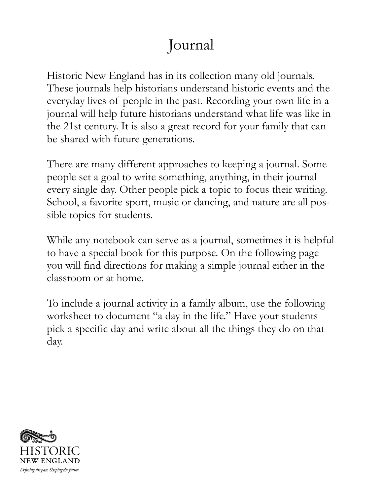# Journal

Historic New England has in its collection many old journals. These journals help historians understand historic events and the everyday lives of people in the past. Recording your own life in a journal will help future historians understand what life was like in the 21st century. It is also a great record for your family that can be shared with future generations.

There are many different approaches to keeping a journal. Some people set a goal to write something, anything, in their journal every single day. Other people pick a topic to focus their writing. School, a favorite sport, music or dancing, and nature are all possible topics for students.

While any notebook can serve as a journal, sometimes it is helpful to have a special book for this purpose. On the following page you will find directions for making a simple journal either in the classroom or at home.

To include a journal activity in a family album, use the following worksheet to document "a day in the life." Have your students pick a specific day and write about all the things they do on that day.

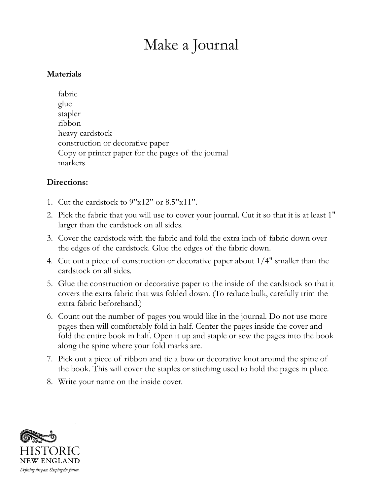## Make a Journal

#### **Materials**

fabric glue stapler ribbon heavy cardstock construction or decorative paper Copy or printer paper for the pages of the journal markers

#### **Directions:**

- 1. Cut the cardstock to 9"x12" or 8.5"x11".
- 2. Pick the fabric that you will use to cover your journal. Cut it so that it is at least 1" larger than the cardstock on all sides.
- 3. Cover the cardstock with the fabric and fold the extra inch of fabric down over the edges of the cardstock. Glue the edges of the fabric down.
- 4. Cut out a piece of construction or decorative paper about 1/4" smaller than the cardstock on all sides.
- 5. Glue the construction or decorative paper to the inside of the cardstock so that it covers the extra fabric that was folded down. (To reduce bulk, carefully trim the extra fabric beforehand.)
- 6. Count out the number of pages you would like in the journal. Do not use more pages then will comfortably fold in half. Center the pages inside the cover and fold the entire book in half. Open it up and staple or sew the pages into the book along the spine where your fold marks are.
- 7. Pick out a piece of ribbon and tie a bow or decorative knot around the spine of the book. This will cover the staples or stitching used to hold the pages in place.
- 8. Write your name on the inside cover.